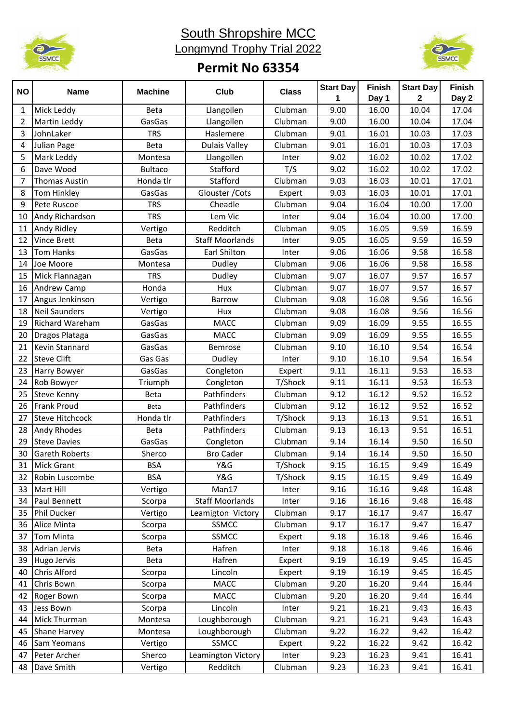

## South Shropshire MCC Longmynd Trophy Trial 2022





| <b>NO</b> | <b>Name</b>                       | <b>Machine</b>   | Club                       | <b>Class</b>       | Start Day<br>1 | <b>Finish</b><br>Day 1 | Start Day<br>$\mathbf{2}$ | <b>Finish</b><br>Day 2 |
|-----------|-----------------------------------|------------------|----------------------------|--------------------|----------------|------------------------|---------------------------|------------------------|
| 1         | Mick Leddy                        | <b>Beta</b>      | Llangollen                 | Clubman            | 9.00           | 16.00                  | 10.04                     | 17.04                  |
| 2         | <b>Martin Leddy</b>               | GasGas           | Llangollen                 | Clubman            | 9.00           | 16.00                  | 10.04                     | 17.04                  |
| 3         | JohnLaker                         | <b>TRS</b>       | Haslemere                  | Clubman            | 9.01           | 16.01                  | 10.03                     | 17.03                  |
| 4         | Julian Page                       | <b>Beta</b>      | <b>Dulais Valley</b>       | Clubman            | 9.01           | 16.01                  | 10.03                     | 17.03                  |
| 5         | Mark Leddy                        | Montesa          | Llangollen                 | Inter              | 9.02           | 16.02                  | 10.02                     | 17.02                  |
| 6         | Dave Wood                         | <b>Bultaco</b>   | Stafford                   | T/S                | 9.02           | 16.02                  | 10.02                     | 17.02                  |
| 7         | <b>Thomas Austin</b>              | Honda tlr        | Stafford                   | Clubman            | 9.03           | 16.03                  | 10.01                     | 17.01                  |
| 8         | Tom Hinkley                       | GasGas           | Glouster / Cots            | Expert             | 9.03           | 16.03                  | 10.01                     | 17.01                  |
| 9         | Pete Ruscoe                       | <b>TRS</b>       | Cheadle                    | Clubman            | 9.04           | 16.04                  | 10.00                     | 17.00                  |
| 10        | Andy Richardson                   | <b>TRS</b>       | Lem Vic                    | Inter              | 9.04           | 16.04                  | 10.00                     | 17.00                  |
| 11        | Andy Ridley                       | Vertigo          | Redditch                   | Clubman            | 9.05           | 16.05                  | 9.59                      | 16.59                  |
| 12        | <b>Vince Brett</b>                | Beta             | <b>Staff Moorlands</b>     | Inter              | 9.05           | 16.05                  | 9.59                      | 16.59                  |
| 13        | <b>Tom Hanks</b>                  | GasGas           | <b>Earl Shilton</b>        | Inter              | 9.06           | 16.06                  | 9.58                      | 16.58                  |
| 14        | Joe Moore                         | Montesa          | Dudley                     | Clubman            | 9.06           | 16.06                  | 9.58                      | 16.58                  |
| 15        | Mick Flannagan                    | <b>TRS</b>       | Dudley                     | Clubman            | 9.07           | 16.07                  | 9.57                      | 16.57                  |
| 16        | <b>Andrew Camp</b>                | Honda            | Hux                        | Clubman            | 9.07           | 16.07                  | 9.57                      | 16.57                  |
| 17        | Angus Jenkinson                   | Vertigo          | Barrow                     | Clubman            | 9.08           | 16.08                  | 9.56                      | 16.56                  |
| 18        | <b>Neil Saunders</b>              | Vertigo          | Hux                        | Clubman            | 9.08           | 16.08                  | 9.56                      | 16.56                  |
| 19        | Richard Wareham                   | GasGas           | <b>MACC</b>                | Clubman            | 9.09           | 16.09                  | 9.55                      | 16.55                  |
| 20        | Dragos Plataga                    | GasGas           | <b>MACC</b>                | Clubman            | 9.09           | 16.09                  | 9.55                      | 16.55                  |
| 21        | <b>Kevin Stannard</b>             | GasGas           | Bemrose                    | Clubman            | 9.10           | 16.10                  | 9.54                      | 16.54                  |
| 22        | <b>Steve Clift</b>                | Gas Gas          | Dudley                     | Inter              | 9.10           | 16.10                  | 9.54                      | 16.54                  |
| 23        | <b>Harry Bowyer</b>               | GasGas           | Congleton                  | Expert             | 9.11           | 16.11                  | 9.53                      | 16.53                  |
| 24        | Rob Bowyer                        | Triumph          | Congleton                  | T/Shock            | 9.11           | 16.11                  | 9.53                      | 16.53                  |
| 25        | <b>Steve Kenny</b>                | <b>Beta</b>      | Pathfinders                | Clubman            | 9.12           | 16.12                  | 9.52                      | 16.52                  |
| 26        | <b>Frank Proud</b>                | Beta             | Pathfinders                | Clubman            | 9.12           | 16.12                  | 9.52                      | 16.52                  |
| 27        | Steve Hitchcock                   | Honda tlr        | Pathfinders                | T/Shock            | 9.13           | 16.13                  | 9.51                      | 16.51                  |
| 28        | <b>Andy Rhodes</b>                | <b>Beta</b>      | Pathfinders                | Clubman            | 9.13           | 16.13                  | 9.51                      | 16.51                  |
| 29        | <b>Steve Davies</b>               | GasGas           | Congleton                  | Clubman            | 9.14           | 16.14                  | 9.50                      | 16.50                  |
| 30        | <b>Gareth Roberts</b>             | Sherco           | <b>Bro Cader</b>           | Clubman            | 9.14           | 16.14                  | 9.50                      | 16.50                  |
| 31        | <b>Mick Grant</b>                 | <b>BSA</b>       | Y&G                        | T/Shock            | 9.15           | 16.15                  | 9.49                      | 16.49                  |
| 32        | Robin Luscombe                    | <b>BSA</b>       | Y&G                        | T/Shock            | 9.15           | 16.15                  | 9.49                      | 16.49                  |
| 33        | Mart Hill                         | Vertigo          | Man17                      | Inter              | 9.16           | 16.16                  | 9.48                      | 16.48                  |
| 34        | Paul Bennett                      | Scorpa           | <b>Staff Moorlands</b>     | Inter              | 9.16           | 16.16                  | 9.48                      | 16.48                  |
| 35        | <b>Phil Ducker</b><br>Alice Minta | Vertigo          | Leamigton Victory<br>SSMCC | Clubman<br>Clubman | 9.17<br>9.17   | 16.17<br>16.17         | 9.47                      | 16.47<br>16.47         |
| 36<br>37  | <b>Tom Minta</b>                  | Scorpa<br>Scorpa | SSMCC                      | Expert             | 9.18           | 16.18                  | 9.47<br>9.46              | 16.46                  |
| 38        | <b>Adrian Jervis</b>              | Beta             | Hafren                     | Inter              | 9.18           | 16.18                  | 9.46                      | 16.46                  |
| 39        | Hugo Jervis                       | Beta             | Hafren                     | Expert             | 9.19           | 16.19                  | 9.45                      | 16.45                  |
| 40        | <b>Chris Alford</b>               | Scorpa           | Lincoln                    | Expert             | 9.19           | 16.19                  | 9.45                      | 16.45                  |
| 41        | Chris Bown                        | Scorpa           | MACC                       | Clubman            | 9.20           | 16.20                  | 9.44                      | 16.44                  |
| 42        | Roger Bown                        | Scorpa           | <b>MACC</b>                | Clubman            | 9.20           | 16.20                  | 9.44                      | 16.44                  |
| 43        | <b>Jess Bown</b>                  | Scorpa           | Lincoln                    | Inter              | 9.21           | 16.21                  | 9.43                      | 16.43                  |
| 44        | Mick Thurman                      | Montesa          | Loughborough               | Clubman            | 9.21           | 16.21                  | 9.43                      | 16.43                  |
| 45        | <b>Shane Harvey</b>               | Montesa          | Loughborough               | Clubman            | 9.22           | 16.22                  | 9.42                      | 16.42                  |
| 46        | Sam Yeomans                       | Vertigo          | SSMCC                      | Expert             | 9.22           | 16.22                  | 9.42                      | 16.42                  |
| 47        | Peter Archer                      | Sherco           | Leamington Victory         | Inter              | 9.23           | 16.23                  | 9.41                      | 16.41                  |
| 48        | Dave Smith                        | Vertigo          | Redditch                   | Clubman            | 9.23           | 16.23                  | 9.41                      | 16.41                  |
|           |                                   |                  |                            |                    |                |                        |                           |                        |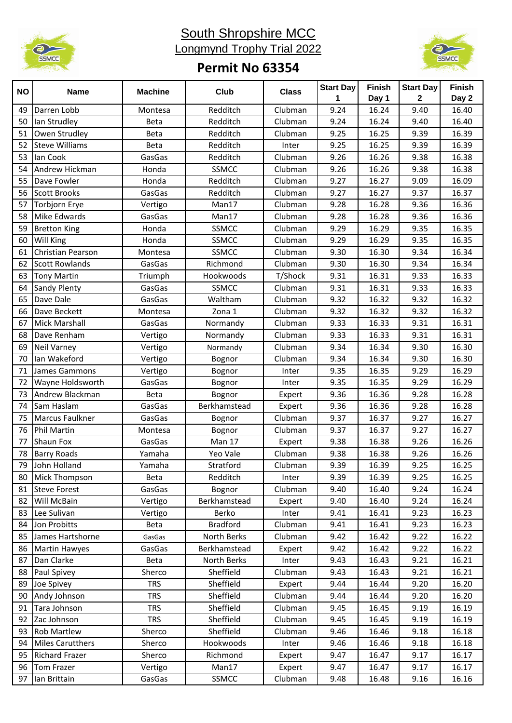

## South Shropshire MCC Longmynd Trophy Trial 2022



## **Permit No 63354**

| <b>NO</b> | <b>Name</b>             | <b>Machine</b> | Club            | <b>Class</b> | <b>Start Day</b><br>1 | <b>Finish</b><br>Day 1 | <b>Start Day</b><br>$\mathbf{2}$ | <b>Finish</b><br>Day 2 |
|-----------|-------------------------|----------------|-----------------|--------------|-----------------------|------------------------|----------------------------------|------------------------|
| 49        | Darren Lobb             | Montesa        | Redditch        | Clubman      | 9.24                  | 16.24                  | 9.40                             | 16.40                  |
| 50        | lan Strudley            | <b>Beta</b>    | Redditch        | Clubman      | 9.24                  | 16.24                  | 9.40                             | 16.40                  |
| 51        | Owen Strudley           | <b>Beta</b>    | Redditch        | Clubman      | 9.25                  | 16.25                  | 9.39                             | 16.39                  |
| 52        | <b>Steve Williams</b>   | Beta           | Redditch        | Inter        | 9.25                  | 16.25                  | 9.39                             | 16.39                  |
| 53        | lan Cook                | GasGas         | Redditch        | Clubman      | 9.26                  | 16.26                  | 9.38                             | 16.38                  |
| 54        | Andrew Hickman          | Honda          | <b>SSMCC</b>    | Clubman      | 9.26                  | 16.26                  | 9.38                             | 16.38                  |
| 55        | Dave Fowler             | Honda          | Redditch        | Clubman      | 9.27                  | 16.27                  | 9.09                             | 16.09                  |
| 56        | <b>Scott Brooks</b>     | GasGas         | Redditch        | Clubman      | 9.27                  | 16.27                  | 9.37                             | 16.37                  |
| 57        | <b>Torbjorn Erye</b>    | Vertigo        | Man17           | Clubman      | 9.28                  | 16.28                  | 9.36                             | 16.36                  |
| 58        | Mike Edwards            | GasGas         | Man17           | Clubman      | 9.28                  | 16.28                  | 9.36                             | 16.36                  |
| 59        | <b>Bretton King</b>     | Honda          | <b>SSMCC</b>    | Clubman      | 9.29                  | 16.29                  | 9.35                             | 16.35                  |
| 60        | Will King               | Honda          | SSMCC           | Clubman      | 9.29                  | 16.29                  | 9.35                             | 16.35                  |
| 61        | Christian Pearson       | Montesa        | SSMCC           | Clubman      | 9.30                  | 16.30                  | 9.34                             | 16.34                  |
| 62        | <b>Scott Rowlands</b>   | GasGas         | Richmond        | Clubman      | 9.30                  | 16.30                  | 9.34                             | 16.34                  |
| 63        | <b>Tony Martin</b>      | Triumph        | Hookwoods       | T/Shock      | 9.31                  | 16.31                  | 9.33                             | 16.33                  |
| 64        | <b>Sandy Plenty</b>     | GasGas         | SSMCC           | Clubman      | 9.31                  | 16.31                  | 9.33                             | 16.33                  |
| 65        | Dave Dale               | GasGas         | Waltham         | Clubman      | 9.32                  | 16.32                  | 9.32                             | 16.32                  |
| 66        | Dave Beckett            | Montesa        | Zona 1          | Clubman      | 9.32                  | 16.32                  | 9.32                             | 16.32                  |
| 67        | <b>Mick Marshall</b>    | GasGas         | Normandy        | Clubman      | 9.33                  | 16.33                  | 9.31                             | 16.31                  |
| 68        | Dave Renham             | Vertigo        | Normandy        | Clubman      | 9.33                  | 16.33                  | 9.31                             | 16.31                  |
| 69        | <b>Neil Varney</b>      | Vertigo        | Normandy        | Clubman      | 9.34                  | 16.34                  | 9.30                             | 16.30                  |
| 70        | lan Wakeford            | Vertigo        | Bognor          | Clubman      | 9.34                  | 16.34                  | 9.30                             | 16.30                  |
| 71        | James Gammons           | Vertigo        | Bognor          | Inter        | 9.35                  | 16.35                  | 9.29                             | 16.29                  |
| 72        | Wayne Holdsworth        | GasGas         | Bognor          | Inter        | 9.35                  | 16.35                  | 9.29                             | 16.29                  |
| 73        | Andrew Blackman         | <b>Beta</b>    | Bognor          | Expert       | 9.36                  | 16.36                  | 9.28                             | 16.28                  |
| 74        | Sam Haslam              | GasGas         | Berkhamstead    | Expert       | 9.36                  | 16.36                  | 9.28                             | 16.28                  |
| 75        | <b>Marcus Faulkner</b>  | GasGas         | Bognor          | Clubman      | 9.37                  | 16.37                  | 9.27                             | 16.27                  |
| 76        | <b>Phil Martin</b>      | Montesa        | Bognor          | Clubman      | 9.37                  | 16.37                  | 9.27                             | 16.27                  |
| 77        | Shaun Fox               | GasGas         | Man 17          | Expert       | 9.38                  | 16.38                  | 9.26                             | 16.26                  |
| 78        | <b>Barry Roads</b>      | Yamaha         | Yeo Vale        | Clubman      | 9.38                  | 16.38                  | 9.26                             | 16.26                  |
|           | 79 John Holland         | Yamaha         | Stratford       | Clubman      | 9.39                  | 16.39                  | 9.25                             | 16.25                  |
| 80        | Mick Thompson           | Beta           | Redditch        | Inter        | 9.39                  | 16.39                  | 9.25                             | 16.25                  |
| 81        | <b>Steve Forest</b>     | GasGas         | Bognor          | Clubman      | 9.40                  | 16.40                  | 9.24                             | 16.24                  |
| 82        | Will McBain             | Vertigo        | Berkhamstead    | Expert       | 9.40                  | 16.40                  | 9.24                             | 16.24                  |
| 83        | Lee Sulivan             | Vertigo        | Berko           | Inter        | 9.41                  | 16.41                  | 9.23                             | 16.23                  |
| 84        | Jon Probitts            | Beta           | <b>Bradford</b> | Clubman      | 9.41                  | 16.41                  | 9.23                             | 16.23                  |
| 85        | James Hartshorne        | GasGas         | North Berks     | Clubman      | 9.42                  | 16.42                  | 9.22                             | 16.22                  |
| 86        | <b>Martin Hawyes</b>    | GasGas         | Berkhamstead    | Expert       | 9.42                  | 16.42                  | 9.22                             | 16.22                  |
| 87        | Dan Clarke              | Beta           | North Berks     | Inter        | 9.43                  | 16.43                  | 9.21                             | 16.21                  |
| 88        | Paul Spivey             | Sherco         | Sheffield       | Clubman      | 9.43                  | 16.43                  | 9.21                             | 16.21                  |
| 89        | Joe Spivey              | <b>TRS</b>     | Sheffield       | Expert       | 9.44                  | 16.44                  | 9.20                             | 16.20                  |
| 90        | Andy Johnson            | <b>TRS</b>     | Sheffield       | Clubman      | 9.44                  | 16.44                  | 9.20                             | 16.20                  |
| 91        | Tara Johnson            | <b>TRS</b>     | Sheffield       | Clubman      | 9.45                  | 16.45                  | 9.19                             | 16.19                  |
| 92        | Zac Johnson             | <b>TRS</b>     | Sheffield       | Clubman      | 9.45                  | 16.45                  | 9.19                             | 16.19                  |
| 93        | <b>Rob Martlew</b>      | Sherco         | Sheffield       | Clubman      | 9.46                  | 16.46                  | 9.18                             | 16.18                  |
| 94        | <b>Miles Carutthers</b> | Sherco         | Hookwoods       | Inter        | 9.46                  | 16.46                  | 9.18                             | 16.18                  |
| 95        | <b>Richard Frazer</b>   | Sherco         | Richmond        | Expert       | 9.47                  | 16.47                  | 9.17                             | 16.17                  |
| 96        | <b>Tom Frazer</b>       | Vertigo        | Man17           | Expert       | 9.47                  | 16.47                  | 9.17                             | 16.17                  |
| 97        | lan Brittain            | GasGas         | SSMCC           | Clubman      | 9.48                  | 16.48                  | 9.16                             | 16.16                  |